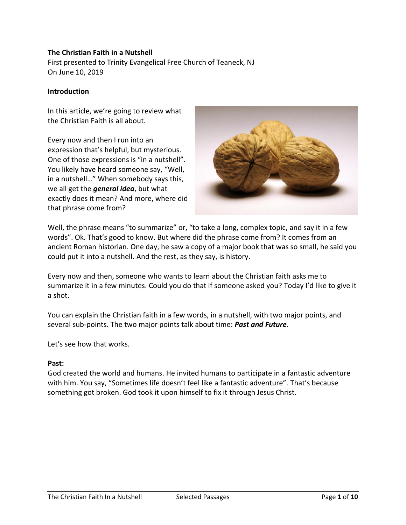## **The Christian Faith in a Nutshell**

First presented to Trinity Evangelical Free Church of Teaneck, NJ On June 10, 2019

#### **Introduction**

In this article, we're going to review what the Christian Faith is all about.

Every now and then I run into an expression that's helpful, but mysterious. One of those expressions is "in a nutshell". You likely have heard someone say, "Well, in a nutshell…" When somebody says this, we all get the *general idea*, but what exactly does it mean? And more, where did that phrase come from?



Well, the phrase means "to summarize" or, "to take a long, complex topic, and say it in a few words". Ok. That's good to know. But where did the phrase come from? It comes from an ancient Roman historian. One day, he saw a copy of a major book that was so small, he said you could put it into a nutshell. And the rest, as they say, is history.

Every now and then, someone who wants to learn about the Christian faith asks me to summarize it in a few minutes. Could you do that if someone asked you? Today I'd like to give it a shot.

You can explain the Christian faith in a few words, in a nutshell, with two major points, and several sub-points. The two major points talk about time: *Past and Future*.

Let's see how that works.

#### **Past:**

God created the world and humans. He invited humans to participate in a fantastic adventure with him. You say, "Sometimes life doesn't feel like a fantastic adventure". That's because something got broken. God took it upon himself to fix it through Jesus Christ.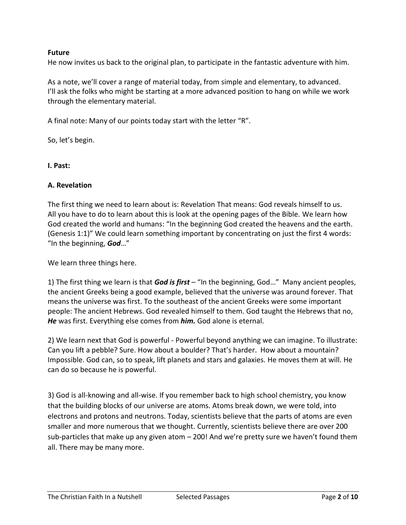# **Future**

He now invites us back to the original plan, to participate in the fantastic adventure with him.

As a note, we'll cover a range of material today, from simple and elementary, to advanced. I'll ask the folks who might be starting at a more advanced position to hang on while we work through the elementary material.

A final note: Many of our points today start with the letter "R".

So, let's begin.

## **I. Past:**

## **A. Revelation**

The first thing we need to learn about is: Revelation That means: God reveals himself to us. All you have to do to learn about this is look at the opening pages of the Bible. We learn how God created the world and humans: "In the beginning God created the heavens and the earth. (Genesis 1:1)" We could learn something important by concentrating on just the first 4 words: "In the beginning, *God*…"

We learn three things here.

1) The first thing we learn is that *God is first* – "In the beginning, God…" Many ancient peoples, the ancient Greeks being a good example, believed that the universe was around forever. That means the universe was first. To the southeast of the ancient Greeks were some important people: The ancient Hebrews. God revealed himself to them. God taught the Hebrews that no, *He* was first. Everything else comes from *him.* God alone is eternal.

2) We learn next that God is powerful - Powerful beyond anything we can imagine. To illustrate: Can you lift a pebble? Sure. How about a boulder? That's harder. How about a mountain? Impossible. God can, so to speak, lift planets and stars and galaxies. He moves them at will. He can do so because he is powerful.

3) God is all-knowing and all-wise. If you remember back to high school chemistry, you know that the building blocks of our universe are atoms. Atoms break down, we were told, into electrons and protons and neutrons. Today, scientists believe that the parts of atoms are even smaller and more numerous that we thought. Currently, scientists believe there are over 200 sub-particles that make up any given atom – 200! And we're pretty sure we haven't found them all. There may be many more.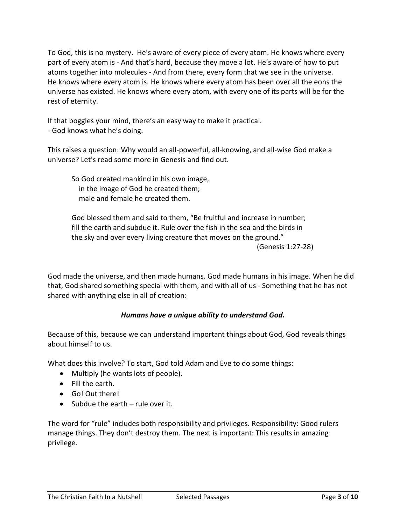To God, this is no mystery. He's aware of every piece of every atom. He knows where every part of every atom is - And that's hard, because they move a lot. He's aware of how to put atoms together into molecules - And from there, every form that we see in the universe. He knows where every atom is. He knows where every atom has been over all the eons the universe has existed. He knows where every atom, with every one of its parts will be for the rest of eternity.

If that boggles your mind, there's an easy way to make it practical.

- God knows what he's doing.

This raises a question: Why would an all-powerful, all-knowing, and all-wise God make a universe? Let's read some more in Genesis and find out.

So God created mankind in his own image, in the image of God he created them; male and female he created them.

God blessed them and said to them, "Be fruitful and increase in number; fill the earth and subdue it. Rule over the fish in the sea and the birds in the sky and over every living creature that moves on the ground." (Genesis 1:27-28)

God made the universe, and then made humans. God made humans in his image. When he did that, God shared something special with them, and with all of us - Something that he has not shared with anything else in all of creation:

# *Humans have a unique ability to understand God.*

Because of this, because we can understand important things about God, God reveals things about himself to us.

What does this involve? To start, God told Adam and Eve to do some things:

- Multiply (he wants lots of people).
- Fill the earth.
- Go! Out there!
- Subdue the earth rule over it.

The word for "rule" includes both responsibility and privileges. Responsibility: Good rulers manage things. They don't destroy them. The next is important: This results in amazing privilege.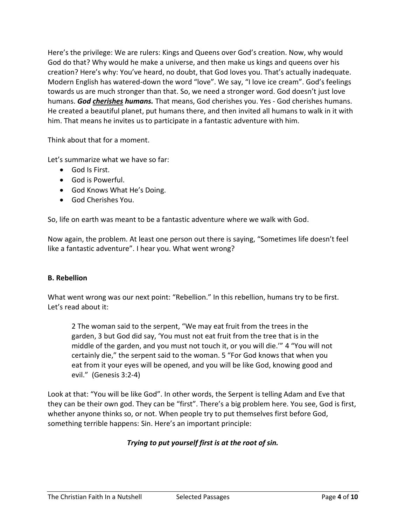Here's the privilege: We are rulers: Kings and Queens over God's creation. Now, why would God do that? Why would he make a universe, and then make us kings and queens over his creation? Here's why: You've heard, no doubt, that God loves you. That's actually inadequate. Modern English has watered-down the word "love". We say, "I love ice cream". God's feelings towards us are much stronger than that. So, we need a stronger word. God doesn't just love humans. *God cherishes humans.* That means, God cherishes you. Yes - God cherishes humans. He created a beautiful planet, put humans there, and then invited all humans to walk in it with him. That means he invites us to participate in a fantastic adventure with him.

Think about that for a moment.

Let's summarize what we have so far:

- God Is First.
- God is Powerful.
- God Knows What He's Doing.
- God Cherishes You.

So, life on earth was meant to be a fantastic adventure where we walk with God.

Now again, the problem. At least one person out there is saying, "Sometimes life doesn't feel like a fantastic adventure". I hear you. What went wrong?

#### **B. Rebellion**

What went wrong was our next point: "Rebellion." In this rebellion, humans try to be first. Let's read about it:

2 The woman said to the serpent, "We may eat fruit from the trees in the garden, 3 but God did say, 'You must not eat fruit from the tree that is in the middle of the garden, and you must not touch it, or you will die.'" 4 "You will not certainly die," the serpent said to the woman. 5 "For God knows that when you eat from it your eyes will be opened, and you will be like God, knowing good and evil." (Genesis 3:2-4)

Look at that: "You will be like God". In other words, the Serpent is telling Adam and Eve that they can be their own god. They can be "first". There's a big problem here. You see, God is first, whether anyone thinks so, or not. When people try to put themselves first before God, something terrible happens: Sin. Here's an important principle:

# *Trying to put yourself first is at the root of sin.*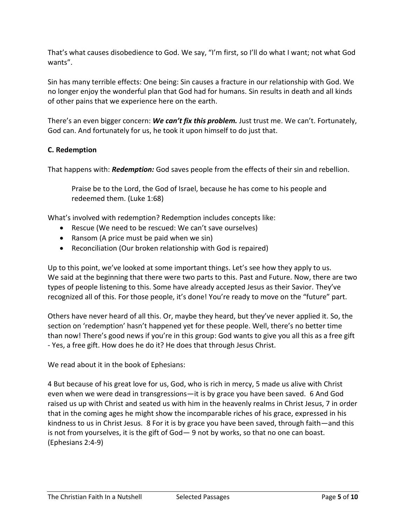That's what causes disobedience to God. We say, "I'm first, so I'll do what I want; not what God wants".

Sin has many terrible effects: One being: Sin causes a fracture in our relationship with God. We no longer enjoy the wonderful plan that God had for humans. Sin results in death and all kinds of other pains that we experience here on the earth.

There's an even bigger concern: *We can't fix this problem.* Just trust me. We can't. Fortunately, God can. And fortunately for us, he took it upon himself to do just that.

# **C. Redemption**

That happens with: *Redemption:* God saves people from the effects of their sin and rebellion.

Praise be to the Lord, the God of Israel, because he has come to his people and redeemed them. (Luke 1:68)

What's involved with redemption? Redemption includes concepts like:

- Rescue (We need to be rescued: We can't save ourselves)
- Ransom (A price must be paid when we sin)
- Reconciliation (Our broken relationship with God is repaired)

Up to this point, we've looked at some important things. Let's see how they apply to us. We said at the beginning that there were two parts to this. Past and Future. Now, there are two types of people listening to this. Some have already accepted Jesus as their Savior. They've recognized all of this. For those people, it's done! You're ready to move on the "future" part.

Others have never heard of all this. Or, maybe they heard, but they've never applied it. So, the section on 'redemption' hasn't happened yet for these people. Well, there's no better time than now! There's good news if you're in this group: God wants to give you all this as a free gift - Yes, a free gift. How does he do it? He does that through Jesus Christ.

We read about it in the book of Ephesians:

4 But because of his great love for us, God, who is rich in mercy, 5 made us alive with Christ even when we were dead in transgressions—it is by grace you have been saved. 6 And God raised us up with Christ and seated us with him in the heavenly realms in Christ Jesus, 7 in order that in the coming ages he might show the incomparable riches of his grace, expressed in his kindness to us in Christ Jesus. 8 For it is by grace you have been saved, through faith—and this is not from yourselves, it is the gift of God— 9 not by works, so that no one can boast. (Ephesians 2:4-9)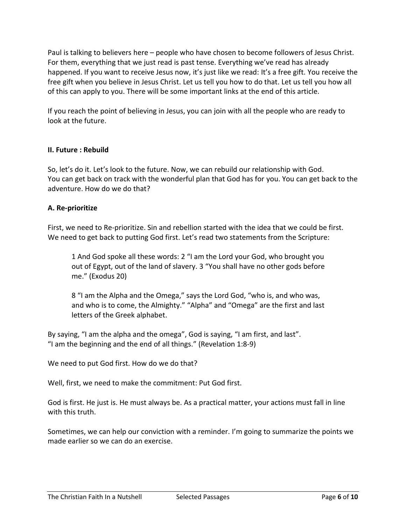Paul is talking to believers here – people who have chosen to become followers of Jesus Christ. For them, everything that we just read is past tense. Everything we've read has already happened. If you want to receive Jesus now, it's just like we read: It's a free gift. You receive the free gift when you believe in Jesus Christ. Let us tell you how to do that. Let us tell you how all of this can apply to you. There will be some important links at the end of this article.

If you reach the point of believing in Jesus, you can join with all the people who are ready to look at the future.

# **II. Future : Rebuild**

So, let's do it. Let's look to the future. Now, we can rebuild our relationship with God. You can get back on track with the wonderful plan that God has for you. You can get back to the adventure. How do we do that?

# **A. Re-prioritize**

First, we need to Re-prioritize. Sin and rebellion started with the idea that we could be first. We need to get back to putting God first. Let's read two statements from the Scripture:

1 And God spoke all these words: 2 "I am the Lord your God, who brought you out of Egypt, out of the land of slavery. 3 "You shall have no other gods before me." (Exodus 20)

8 "I am the Alpha and the Omega," says the Lord God, "who is, and who was, and who is to come, the Almighty." "Alpha" and "Omega" are the first and last letters of the Greek alphabet.

By saying, "I am the alpha and the omega", God is saying, "I am first, and last". "I am the beginning and the end of all things." (Revelation 1:8-9)

We need to put God first. How do we do that?

Well, first, we need to make the commitment: Put God first.

God is first. He just is. He must always be. As a practical matter, your actions must fall in line with this truth.

Sometimes, we can help our conviction with a reminder. I'm going to summarize the points we made earlier so we can do an exercise.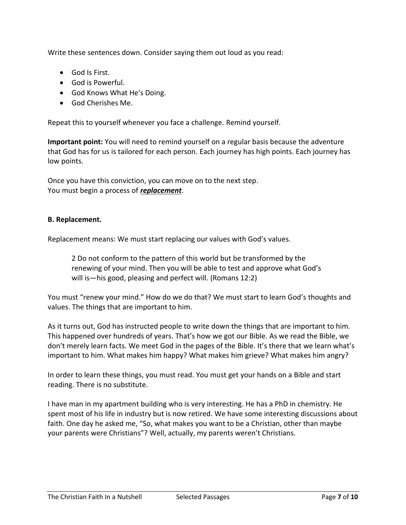Write these sentences down. Consider saying them out loud as you read:

- God Is First.
- God is Powerful.
- God Knows What He's Doing.
- God Cherishes Me.

Repeat this to yourself whenever you face a challenge. Remind yourself.

**Important point:** You will need to remind yourself on a regular basis because the adventure that God has for us is tailored for each person. Each journey has high points. Each journey has low points.

Once you have this conviction, you can move on to the next step. You must begin a process of *replacement*.

## **B. Replacement.**

Replacement means: We must start replacing our values with God's values.

2 Do not conform to the pattern of this world but be transformed by the renewing of your mind. Then you will be able to test and approve what God's will is—his good, pleasing and perfect will. (Romans 12:2)

You must "renew your mind." How do we do that? We must start to learn God's thoughts and values. The things that are important to him.

As it turns out, God has instructed people to write down the things that are important to him. This happened over hundreds of years. That's how we got our Bible. As we read the Bible, we don't merely learn facts. We meet God in the pages of the Bible. It's there that we learn what's important to him. What makes him happy? What makes him grieve? What makes him angry?

In order to learn these things, you must read. You must get your hands on a Bible and start reading. There is no substitute.

I have man in my apartment building who is very interesting. He has a PhD in chemistry. He spent most of his life in industry but is now retired. We have some interesting discussions about faith. One day he asked me, "So, what makes you want to be a Christian, other than maybe your parents were Christians"? Well, actually, my parents weren't Christians.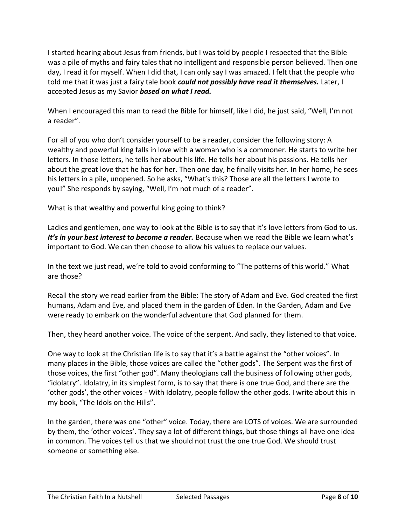I started hearing about Jesus from friends, but I was told by people I respected that the Bible was a pile of myths and fairy tales that no intelligent and responsible person believed. Then one day, I read it for myself. When I did that, I can only say I was amazed. I felt that the people who told me that it was just a fairy tale book *could not possibly have read it themselves.* Later, I accepted Jesus as my Savior *based on what I read.*

When I encouraged this man to read the Bible for himself, like I did, he just said, "Well, I'm not a reader".

For all of you who don't consider yourself to be a reader, consider the following story: A wealthy and powerful king falls in love with a woman who is a commoner. He starts to write her letters. In those letters, he tells her about his life. He tells her about his passions. He tells her about the great love that he has for her. Then one day, he finally visits her. In her home, he sees his letters in a pile, unopened. So he asks, "What's this? Those are all the letters I wrote to you!" She responds by saying, "Well, I'm not much of a reader".

What is that wealthy and powerful king going to think?

Ladies and gentlemen, one way to look at the Bible is to say that it's love letters from God to us. It's in your best interest to become a reader. Because when we read the Bible we learn what's important to God. We can then choose to allow his values to replace our values.

In the text we just read, we're told to avoid conforming to "The patterns of this world." What are those?

Recall the story we read earlier from the Bible: The story of Adam and Eve. God created the first humans, Adam and Eve, and placed them in the garden of Eden. In the Garden, Adam and Eve were ready to embark on the wonderful adventure that God planned for them.

Then, they heard another voice. The voice of the serpent. And sadly, they listened to that voice.

One way to look at the Christian life is to say that it's a battle against the "other voices". In many places in the Bible, those voices are called the "other gods". The Serpent was the first of those voices, the first "other god". Many theologians call the business of following other gods, "idolatry". Idolatry, in its simplest form, is to say that there is one true God, and there are the 'other gods', the other voices - With Idolatry, people follow the other gods. I write about this in my book, "The Idols on the Hills".

In the garden, there was one "other" voice. Today, there are LOTS of voices. We are surrounded by them, the 'other voices'. They say a lot of different things, but those things all have one idea in common. The voices tell us that we should not trust the one true God. We should trust someone or something else.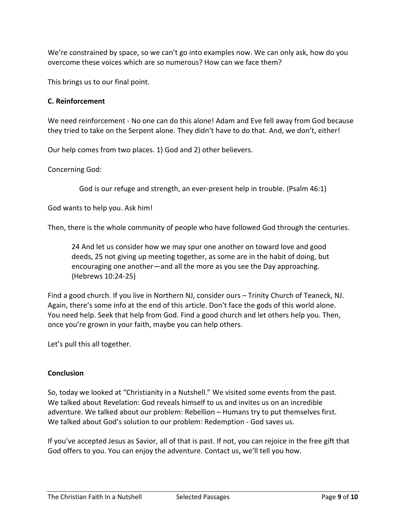We're constrained by space, so we can't go into examples now. We can only ask, how do you overcome these voices which are so numerous? How can we face them?

This brings us to our final point.

## **C. Reinforcement**

We need reinforcement - No one can do this alone! Adam and Eve fell away from God because they tried to take on the Serpent alone. They didn't have to do that. And, we don't, either!

Our help comes from two places. 1) God and 2) other believers.

Concerning God:

God is our refuge and strength, an ever-present help in trouble. (Psalm 46:1)

God wants to help you. Ask him!

Then, there is the whole community of people who have followed God through the centuries.

24 And let us consider how we may spur one another on toward love and good deeds, 25 not giving up meeting together, as some are in the habit of doing, but encouraging one another—and all the more as you see the Day approaching. (Hebrews 10:24-25)

Find a good church. If you live in Northern NJ, consider ours – Trinity Church of Teaneck, NJ. Again, there's some info at the end of this article. Don't face the gods of this world alone. You need help. Seek that help from God. Find a good church and let others help you. Then, once you're grown in your faith, maybe you can help others.

Let's pull this all together.

## **Conclusion**

So, today we looked at "Christianity in a Nutshell." We visited some events from the past. We talked about Revelation: God reveals himself to us and invites us on an incredible adventure. We talked about our problem: Rebellion – Humans try to put themselves first. We talked about God's solution to our problem: Redemption - God saves us.

If you've accepted Jesus as Savior, all of that is past. If not, you can rejoice in the free gift that God offers to you. You can enjoy the adventure. Contact us, we'll tell you how.